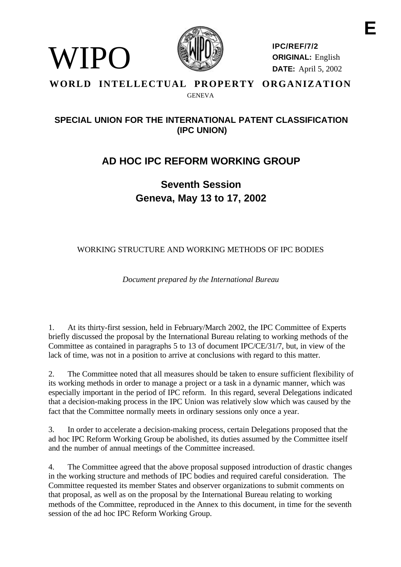

VIPO)

**IPC/REF/7/2 ORIGINAL:** English **DATE:** April 5, 2002

## **WORLD INTELLECTUAL PROPERTY ORGANIZATION GENEVA**

# **SPECIAL UNION FOR THE INTERNATIONAL PATENT CLASSIFICATION (IPC UNION)**

# **AD HOC IPC REFORM WORKING GROUP**

**Seventh Session Geneva, May 13 to 17, 2002**

# WORKING STRUCTURE AND WORKING METHODS OF IPC BODIES

*Document prepared by the International Bureau*

1. At its thirty-first session, held in February/March 2002, the IPC Committee of Experts briefly discussed the proposal by the International Bureau relating to working methods of the Committee as contained in paragraphs 5 to 13 of document IPC/CE/31/7, but, in view of the lack of time, was not in a position to arrive at conclusions with regard to this matter.

2. The Committee noted that all measures should be taken to ensure sufficient flexibility of its working methods in order to manage a project or a task in a dynamic manner, which was especially important in the period of IPC reform. In this regard, several Delegations indicated that a decision-making process in the IPC Union was relatively slow which was caused by the fact that the Committee normally meets in ordinary sessions only once a year.

3. In order to accelerate a decision-making process, certain Delegations proposed that the ad hoc IPC Reform Working Group be abolished, its duties assumed by the Committee itself and the number of annual meetings of the Committee increased.

4. The Committee agreed that the above proposal supposed introduction of drastic changes in the working structure and methods of IPC bodies and required careful consideration. The Committee requested its member States and observer organizations to submit comments on that proposal, as well as on the proposal by the International Bureau relating to working methods of the Committee, reproduced in the Annex to this document, in time for the seventh session of the ad hoc IPC Reform Working Group.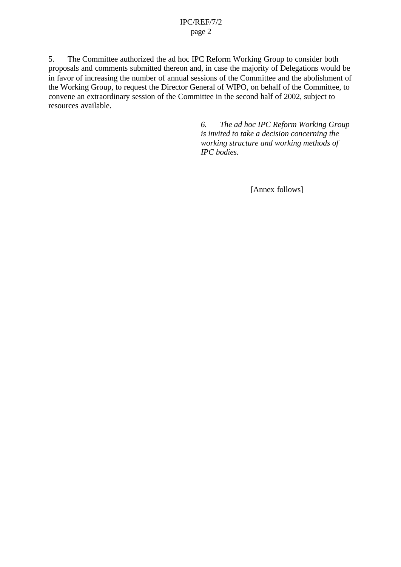#### IPC/REF/7/2 page 2

5. The Committee authorized the ad hoc IPC Reform Working Group to consider both proposals and comments submitted thereon and, in case the majority of Delegations would be in favor of increasing the number of annual sessions of the Committee and the abolishment of the Working Group, to request the Director General of WIPO, on behalf of the Committee, to convene an extraordinary session of the Committee in the second half of 2002, subject to resources available.

> *6. The ad hoc IPC Reform Working Group is invited to take a decision concerning the working structure and working methods of IPC bodies.*

> > [Annex follows]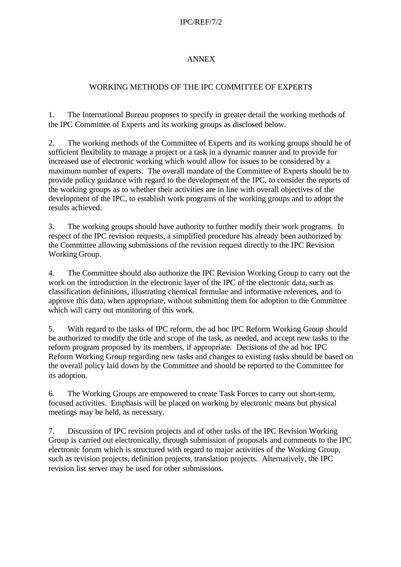## IPC/REF/7/2

## ANNEX

# WORKING METHODS OF THE IPC COMMITTEE OF EXPERTS

1. The International Bureau proposes to specify in greater detail the working methods of the IPC Committee of Experts and its working groups as disclosed below.

2. The working methods of the Committee of Experts and its working groups should be of sufficient flexibility to manage a project or a task in a dynamic manner and to provide for increased use of electronic working which would allow for issues to be considered by a maximum number of experts. The overall mandate of the Committee of Experts should be to provide policy guidance with regard to the development of the IPC, to consider the reports of the working groups as to whether their activities are in line with overall objectives of the development of the IPC, to establish work programs of the working groups and to adopt the results achieved.

3. The working groups should have authority to further modify their work programs. In respect of the IPC revision requests, a simplified procedure has already been authorized by the Committee allowing submissions of the revision request directly to the IPC Revision Working Group.

4. The Committee should also authorize the IPC Revision Working Group to carry out the work on the introduction in the electronic layer of the IPC of the electronic data, such as classification definitions, illustrating chemical formulae and informative references, and to approve this data, when appropriate, without submitting them for adoption to the Committee which will carry out monitoring of this work.

5. With regard to the tasks of IPC reform, the ad hoc IPC Reform Working Group should be authorized to modify the title and scope of the task, as needed, and accept new tasks to the reform program proposed by its members, if appropriate. Decisions of the ad hoc IPC Reform Working Group regarding new tasks and changes to existing tasks should be based on the overall policy laid down by the Committee and should be reported to the Committee for its adoption.

6. The Working Groups are empowered to create Task Forces to carry out short-term, focused activities. Emphasis will be placed on working by electronic means but physical meetings may be held, as necessary.

7. Discussion of IPC revision projects and of other tasks of the IPC Revision Working Group is carried out electronically, through submission of proposals and comments to the IPC electronic forum which is structured with regard to major activities of the Working Group, such as revision projects, definition projects, translation projects. Alternatively, the IPC revision list server may be used for other submissions.